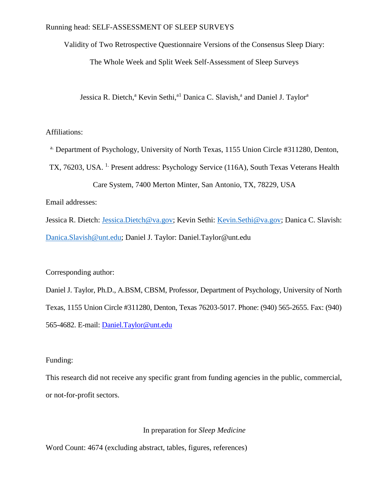Validity of Two Retrospective Questionnaire Versions of the Consensus Sleep Diary:

The Whole Week and Split Week Self-Assessment of Sleep Surveys

Jessica R. Dietch,<sup>a</sup> Kevin Sethi,<sup>al</sup> Danica C. Slavish,<sup>a</sup> and Daniel J. Taylor<sup>a</sup>

## Affiliations:

<sup>a.</sup> Department of Psychology, University of North Texas, 1155 Union Circle #311280, Denton,

TX, 76203, USA. <sup>1.</sup> Present address: Psychology Service (116A), South Texas Veterans Health

Care System, 7400 Merton Minter, San Antonio, TX, 78229, USA

Email addresses:

Jessica R. Dietch: [Jessica.Dietch@va.gov;](mailto:Jessica.Dietch@va.gov) Kevin Sethi: [Kevin.Sethi@va.gov;](mailto:Kevin.Sethi@va.gov) Danica C. Slavish: [Danica.Slavish@unt.edu;](mailto:Danica.Slavish@unt.edu) Daniel J. Taylor: Daniel.Taylor@unt.edu

Corresponding author:

Daniel J. Taylor, Ph.D., A.BSM, CBSM, Professor, Department of Psychology, University of North Texas, 1155 Union Circle #311280, Denton, Texas 76203-5017. Phone: (940) 565-2655. Fax: (940) 565-4682. E-mail: [Daniel.Taylor@unt.edu](mailto:Daniel.Taylor@unt.edu)

# Funding:

This research did not receive any specific grant from funding agencies in the public, commercial, or not-for-profit sectors.

# In preparation for *Sleep Medicine*

Word Count: 4674 (excluding abstract, tables, figures, references)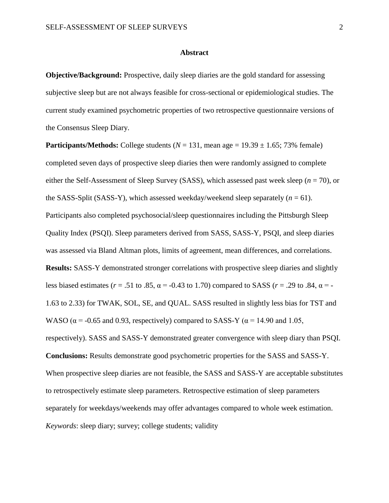#### **Abstract**

**Objective/Background:** Prospective, daily sleep diaries are the gold standard for assessing subjective sleep but are not always feasible for cross-sectional or epidemiological studies. The current study examined psychometric properties of two retrospective questionnaire versions of the Consensus Sleep Diary.

**Participants/Methods:** College students ( $N = 131$ , mean age = 19.39  $\pm$  1.65; 73% female) completed seven days of prospective sleep diaries then were randomly assigned to complete either the Self-Assessment of Sleep Survey (SASS), which assessed past week sleep (*n* = 70), or the SASS-Split (SASS-Y), which assessed weekday/weekend sleep separately  $(n = 61)$ . Participants also completed psychosocial/sleep questionnaires including the Pittsburgh Sleep Quality Index (PSQI). Sleep parameters derived from SASS, SASS-Y, PSQI, and sleep diaries was assessed via Bland Altman plots, limits of agreement, mean differences, and correlations. **Results:** SASS-Y demonstrated stronger correlations with prospective sleep diaries and slightly less biased estimates ( $r = .51$  to  $.85$ ,  $\alpha = -0.43$  to 1.70) compared to SASS ( $r = .29$  to  $.84$ ,  $\alpha = -1$ 1.63 to 2.33) for TWAK, SOL, SE, and QUAL. SASS resulted in slightly less bias for TST and WASO ( $\alpha$  = -0.65 and 0.93, respectively) compared to SASS-Y ( $\alpha$  = 14.90 and 1.05, respectively). SASS and SASS-Y demonstrated greater convergence with sleep diary than PSQI. **Conclusions:** Results demonstrate good psychometric properties for the SASS and SASS-Y. When prospective sleep diaries are not feasible, the SASS and SASS-Y are acceptable substitutes to retrospectively estimate sleep parameters. Retrospective estimation of sleep parameters separately for weekdays/weekends may offer advantages compared to whole week estimation. *Keywords*: sleep diary; survey; college students; validity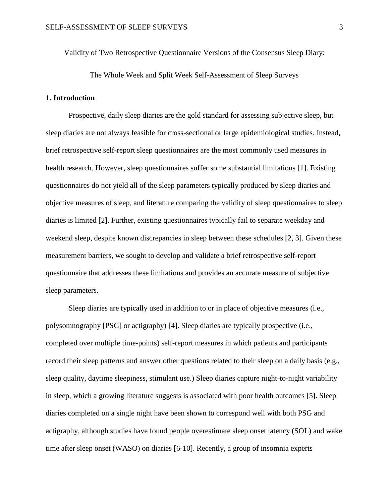Validity of Two Retrospective Questionnaire Versions of the Consensus Sleep Diary:

The Whole Week and Split Week Self-Assessment of Sleep Surveys

## **1. Introduction**

Prospective, daily sleep diaries are the gold standard for assessing subjective sleep, but sleep diaries are not always feasible for cross-sectional or large epidemiological studies. Instead, brief retrospective self-report sleep questionnaires are the most commonly used measures in health research. However, sleep questionnaires suffer some substantial limitations [\[1\]](#page-24-0). Existing questionnaires do not yield all of the sleep parameters typically produced by sleep diaries and objective measures of sleep, and literature comparing the validity of sleep questionnaires to sleep diaries is limited [\[2\]](#page-24-1). Further, existing questionnaires typically fail to separate weekday and weekend sleep, despite known discrepancies in sleep between these schedules [\[2,](#page-24-1) [3\]](#page-24-2). Given these measurement barriers, we sought to develop and validate a brief retrospective self-report questionnaire that addresses these limitations and provides an accurate measure of subjective sleep parameters.

Sleep diaries are typically used in addition to or in place of objective measures (i.e., polysomnography [PSG] or actigraphy) [\[4\]](#page-24-3). Sleep diaries are typically prospective (i.e., completed over multiple time-points) self-report measures in which patients and participants record their sleep patterns and answer other questions related to their sleep on a daily basis (e.g., sleep quality, daytime sleepiness, stimulant use.) Sleep diaries capture night-to-night variability in sleep, which a growing literature suggests is associated with poor health outcomes [\[5\]](#page-24-4). Sleep diaries completed on a single night have been shown to correspond well with both PSG and actigraphy, although studies have found people overestimate sleep onset latency (SOL) and wake time after sleep onset (WASO) on diaries [\[6-10\]](#page-24-5). Recently, a group of insomnia experts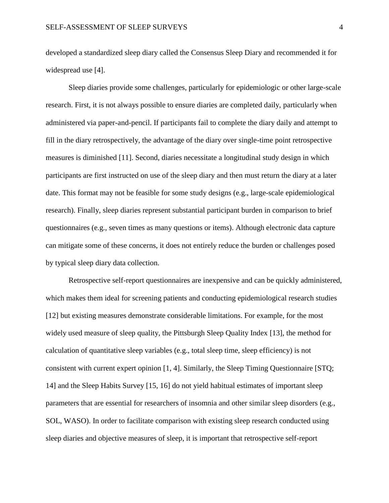developed a standardized sleep diary called the Consensus Sleep Diary and recommended it for widespread use [\[4\]](#page-24-3).

Sleep diaries provide some challenges, particularly for epidemiologic or other large-scale research. First, it is not always possible to ensure diaries are completed daily, particularly when administered via paper-and-pencil. If participants fail to complete the diary daily and attempt to fill in the diary retrospectively, the advantage of the diary over single-time point retrospective measures is diminished [\[11\]](#page-25-0). Second, diaries necessitate a longitudinal study design in which participants are first instructed on use of the sleep diary and then must return the diary at a later date. This format may not be feasible for some study designs (e.g., large-scale epidemiological research). Finally, sleep diaries represent substantial participant burden in comparison to brief questionnaires (e.g., seven times as many questions or items). Although electronic data capture can mitigate some of these concerns, it does not entirely reduce the burden or challenges posed by typical sleep diary data collection.

Retrospective self-report questionnaires are inexpensive and can be quickly administered, which makes them ideal for screening patients and conducting epidemiological research studies [\[12\]](#page-25-1) but existing measures demonstrate considerable limitations. For example, for the most widely used measure of sleep quality, the Pittsburgh Sleep Quality Index [\[13\]](#page-25-2), the method for calculation of quantitative sleep variables (e.g., total sleep time, sleep efficiency) is not consistent with current expert opinion [\[1,](#page-24-0) [4\]](#page-24-3). Similarly, the Sleep Timing Questionnaire [\[STQ;](#page-25-3)  [14\]](#page-25-3) and the Sleep Habits Survey [\[15,](#page-25-4) [16\]](#page-25-5) do not yield habitual estimates of important sleep parameters that are essential for researchers of insomnia and other similar sleep disorders (e.g., SOL, WASO). In order to facilitate comparison with existing sleep research conducted using sleep diaries and objective measures of sleep, it is important that retrospective self-report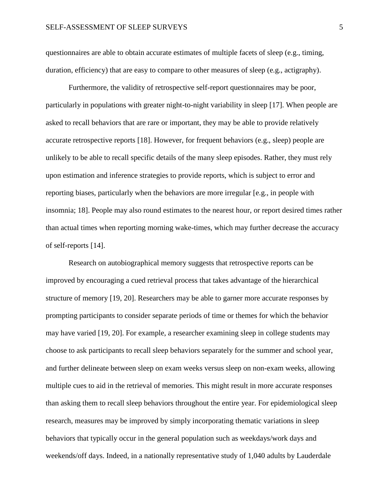questionnaires are able to obtain accurate estimates of multiple facets of sleep (e.g., timing, duration, efficiency) that are easy to compare to other measures of sleep (e.g., actigraphy).

Furthermore, the validity of retrospective self-report questionnaires may be poor, particularly in populations with greater night-to-night variability in sleep [\[17\]](#page-25-6). When people are asked to recall behaviors that are rare or important, they may be able to provide relatively accurate retrospective reports [\[18\]](#page-25-7). However, for frequent behaviors (e.g., sleep) people are unlikely to be able to recall specific details of the many sleep episodes. Rather, they must rely upon estimation and inference strategies to provide reports, which is subject to error and reporting biases, particularly when the behaviors are more irregular [\[e.g., in people with](#page-25-7)  [insomnia; 18\]](#page-25-7). People may also round estimates to the nearest hour, or report desired times rather than actual times when reporting morning wake-times, which may further decrease the accuracy of self-reports [\[14\]](#page-25-3).

Research on autobiographical memory suggests that retrospective reports can be improved by encouraging a cued retrieval process that takes advantage of the hierarchical structure of memory [\[19,](#page-25-8) [20\]](#page-25-9). Researchers may be able to garner more accurate responses by prompting participants to consider separate periods of time or themes for which the behavior may have varied [\[19,](#page-25-8) [20\]](#page-25-9). For example, a researcher examining sleep in college students may choose to ask participants to recall sleep behaviors separately for the summer and school year, and further delineate between sleep on exam weeks versus sleep on non-exam weeks, allowing multiple cues to aid in the retrieval of memories. This might result in more accurate responses than asking them to recall sleep behaviors throughout the entire year. For epidemiological sleep research, measures may be improved by simply incorporating thematic variations in sleep behaviors that typically occur in the general population such as weekdays/work days and weekends/off days. Indeed, in a nationally representative study of 1,040 adults by [Lauderdale](#page-24-1)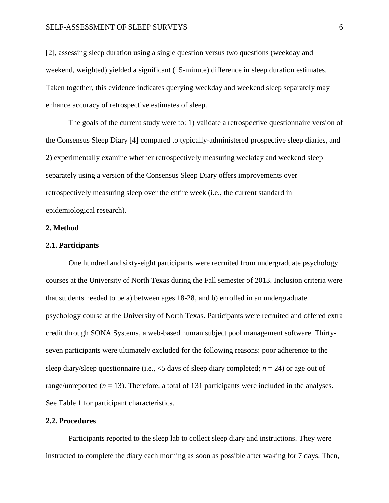[\[2\]](#page-24-1), assessing sleep duration using a single question versus two questions (weekday and weekend, weighted) yielded a significant (15-minute) difference in sleep duration estimates. Taken together, this evidence indicates querying weekday and weekend sleep separately may enhance accuracy of retrospective estimates of sleep.

The goals of the current study were to: 1) validate a retrospective questionnaire version of the Consensus Sleep Diary [\[4\]](#page-24-3) compared to typically-administered prospective sleep diaries, and 2) experimentally examine whether retrospectively measuring weekday and weekend sleep separately using a version of the Consensus Sleep Diary offers improvements over retrospectively measuring sleep over the entire week (i.e., the current standard in epidemiological research).

#### **2. Method**

#### **2.1. Participants**

One hundred and sixty-eight participants were recruited from undergraduate psychology courses at the University of North Texas during the Fall semester of 2013. Inclusion criteria were that students needed to be a) between ages 18-28, and b) enrolled in an undergraduate psychology course at the University of North Texas. Participants were recruited and offered extra credit through SONA Systems, a web-based human subject pool management software. Thirtyseven participants were ultimately excluded for the following reasons: poor adherence to the sleep diary/sleep questionnaire (i.e.,  $\leq$ 5 days of sleep diary completed; *n* = 24) or age out of range/unreported  $(n = 13)$ . Therefore, a total of 131 participants were included in the analyses. See Table 1 for participant characteristics.

#### **2.2. Procedures**

Participants reported to the sleep lab to collect sleep diary and instructions. They were instructed to complete the diary each morning as soon as possible after waking for 7 days. Then,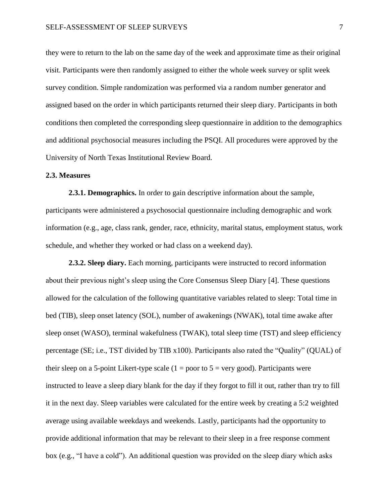they were to return to the lab on the same day of the week and approximate time as their original visit. Participants were then randomly assigned to either the whole week survey or split week survey condition. Simple randomization was performed via a random number generator and assigned based on the order in which participants returned their sleep diary. Participants in both conditions then completed the corresponding sleep questionnaire in addition to the demographics and additional psychosocial measures including the PSQI. All procedures were approved by the University of North Texas Institutional Review Board.

#### **2.3. Measures**

**2.3.1. Demographics.** In order to gain descriptive information about the sample, participants were administered a psychosocial questionnaire including demographic and work information (e.g., age, class rank, gender, race, ethnicity, marital status, employment status, work schedule, and whether they worked or had class on a weekend day).

**2.3.2. Sleep diary.** Each morning, participants were instructed to record information about their previous night's sleep using the Core Consensus Sleep Diary [\[4\]](#page-24-3). These questions allowed for the calculation of the following quantitative variables related to sleep: Total time in bed (TIB), sleep onset latency (SOL), number of awakenings (NWAK), total time awake after sleep onset (WASO), terminal wakefulness (TWAK), total sleep time (TST) and sleep efficiency percentage (SE; i.e., TST divided by TIB x100). Participants also rated the "Quality" (QUAL) of their sleep on a 5-point Likert-type scale  $(1 =$  poor to  $5 =$  very good). Participants were instructed to leave a sleep diary blank for the day if they forgot to fill it out, rather than try to fill it in the next day. Sleep variables were calculated for the entire week by creating a 5:2 weighted average using available weekdays and weekends. Lastly, participants had the opportunity to provide additional information that may be relevant to their sleep in a free response comment box (e.g., "I have a cold"). An additional question was provided on the sleep diary which asks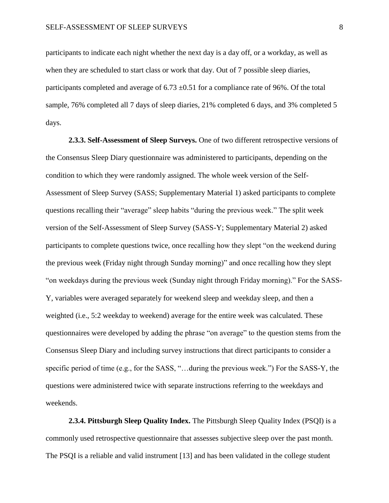participants to indicate each night whether the next day is a day off, or a workday, as well as when they are scheduled to start class or work that day. Out of 7 possible sleep diaries, participants completed and average of 6.73  $\pm$ 0.51 for a compliance rate of 96%. Of the total sample, 76% completed all 7 days of sleep diaries, 21% completed 6 days, and 3% completed 5 days.

**2.3.3. Self-Assessment of Sleep Surveys.** One of two different retrospective versions of the Consensus Sleep Diary questionnaire was administered to participants, depending on the condition to which they were randomly assigned. The whole week version of the Self-Assessment of Sleep Survey (SASS; Supplementary Material 1) asked participants to complete questions recalling their "average" sleep habits "during the previous week." The split week version of the Self-Assessment of Sleep Survey (SASS-Y; Supplementary Material 2) asked participants to complete questions twice, once recalling how they slept "on the weekend during the previous week (Friday night through Sunday morning)" and once recalling how they slept "on weekdays during the previous week (Sunday night through Friday morning)." For the SASS-Y, variables were averaged separately for weekend sleep and weekday sleep, and then a weighted (i.e., 5:2 weekday to weekend) average for the entire week was calculated. These questionnaires were developed by adding the phrase "on average" to the question stems from the Consensus Sleep Diary and including survey instructions that direct participants to consider a specific period of time (e.g., for the SASS, "…during the previous week.") For the SASS-Y, the questions were administered twice with separate instructions referring to the weekdays and weekends.

**2.3.4. Pittsburgh Sleep Quality Index.** The Pittsburgh Sleep Quality Index (PSQI) is a commonly used retrospective questionnaire that assesses subjective sleep over the past month. The PSQI is a reliable and valid instrument [\[13\]](#page-25-2) and has been validated in the college student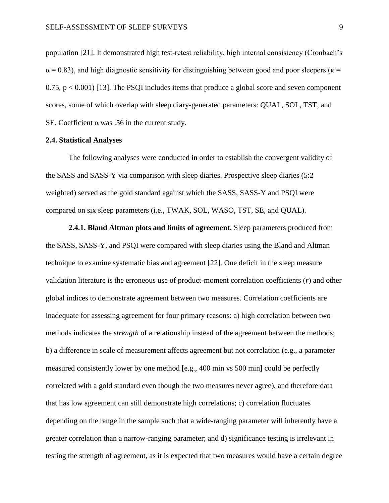population [\[21\]](#page-26-0). It demonstrated high test-retest reliability, high internal consistency (Cronbach's  $\alpha$  = 0.83), and high diagnostic sensitivity for distinguishing between good and poor sleepers ( $\kappa$  =  $0.75$ ,  $p < 0.001$  [\[13\]](#page-25-2). The PSQI includes items that produce a global score and seven component scores, some of which overlap with sleep diary-generated parameters: QUAL, SOL, TST, and SE. Coefficient  $\alpha$  was .56 in the current study.

#### **2.4. Statistical Analyses**

The following analyses were conducted in order to establish the convergent validity of the SASS and SASS-Y via comparison with sleep diaries. Prospective sleep diaries (5:2 weighted) served as the gold standard against which the SASS, SASS-Y and PSQI were compared on six sleep parameters (i.e., TWAK, SOL, WASO, TST, SE, and QUAL).

**2.4.1. Bland Altman plots and limits of agreement.** Sleep parameters produced from the SASS, SASS-Y, and PSQI were compared with sleep diaries using the Bland and Altman technique to examine systematic bias and agreement [\[22\]](#page-26-1). One deficit in the sleep measure validation literature is the erroneous use of product-moment correlation coefficients (*r*) and other global indices to demonstrate agreement between two measures. Correlation coefficients are inadequate for assessing agreement for four primary reasons: a) high correlation between two methods indicates the *strength* of a relationship instead of the agreement between the methods; b) a difference in scale of measurement affects agreement but not correlation (e.g., a parameter measured consistently lower by one method [e.g., 400 min vs 500 min] could be perfectly correlated with a gold standard even though the two measures never agree), and therefore data that has low agreement can still demonstrate high correlations; c) correlation fluctuates depending on the range in the sample such that a wide-ranging parameter will inherently have a greater correlation than a narrow-ranging parameter; and d) significance testing is irrelevant in testing the strength of agreement, as it is expected that two measures would have a certain degree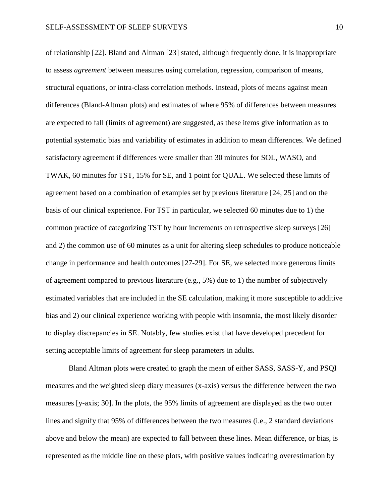of relationship [\[22\]](#page-26-1). Bland and Altman [\[23\]](#page-26-2) stated, although frequently done, it is inappropriate to assess *agreement* between measures using correlation, regression, comparison of means, structural equations, or intra-class correlation methods. Instead, plots of means against mean differences (Bland-Altman plots) and estimates of where 95% of differences between measures are expected to fall (limits of agreement) are suggested, as these items give information as to potential systematic bias and variability of estimates in addition to mean differences. We defined satisfactory agreement if differences were smaller than 30 minutes for SOL, WASO, and TWAK, 60 minutes for TST, 15% for SE, and 1 point for QUAL. We selected these limits of agreement based on a combination of examples set by previous literature [\[24,](#page-26-3) [25\]](#page-26-4) and on the basis of our clinical experience. For TST in particular, we selected 60 minutes due to 1) the common practice of categorizing TST by hour increments on retrospective sleep surveys [\[26\]](#page-26-5) and 2) the common use of 60 minutes as a unit for altering sleep schedules to produce noticeable change in performance and health outcomes [\[27-29\]](#page-26-6). For SE, we selected more generous limits of agreement compared to previous literature (e.g.,  $5\%$ ) due to 1) the number of subjectively estimated variables that are included in the SE calculation, making it more susceptible to additive bias and 2) our clinical experience working with people with insomnia, the most likely disorder to display discrepancies in SE. Notably, few studies exist that have developed precedent for setting acceptable limits of agreement for sleep parameters in adults.

Bland Altman plots were created to graph the mean of either SASS, SASS-Y, and PSQI measures and the weighted sleep diary measures (x-axis) versus the difference between the two measures [\[y-axis; 30\]](#page-27-0). In the plots, the 95% limits of agreement are displayed as the two outer lines and signify that 95% of differences between the two measures (i.e., 2 standard deviations above and below the mean) are expected to fall between these lines. Mean difference, or bias, is represented as the middle line on these plots, with positive values indicating overestimation by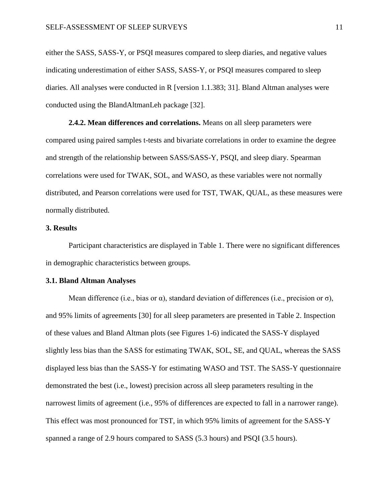either the SASS, SASS-Y, or PSQI measures compared to sleep diaries, and negative values indicating underestimation of either SASS, SASS-Y, or PSQI measures compared to sleep diaries. All analyses were conducted in R [\[version 1.1.383; 31\]](#page-27-1). Bland Altman analyses were conducted using the BlandAltmanLeh package [\[32\]](#page-27-2).

**2.4.2. Mean differences and correlations.** Means on all sleep parameters were compared using paired samples t-tests and bivariate correlations in order to examine the degree and strength of the relationship between SASS/SASS-Y, PSQI, and sleep diary. Spearman correlations were used for TWAK, SOL, and WASO, as these variables were not normally distributed, and Pearson correlations were used for TST, TWAK, QUAL, as these measures were normally distributed.

# **3. Results**

Participant characteristics are displayed in Table 1. There were no significant differences in demographic characteristics between groups.

#### **3.1. Bland Altman Analyses**

Mean difference (i.e., bias or  $\alpha$ ), standard deviation of differences (i.e., precision or  $\sigma$ ), and 95% limits of agreements [\[30\]](#page-27-0) for all sleep parameters are presented in Table 2. Inspection of these values and Bland Altman plots (see Figures 1-6) indicated the SASS-Y displayed slightly less bias than the SASS for estimating TWAK, SOL, SE, and QUAL, whereas the SASS displayed less bias than the SASS-Y for estimating WASO and TST. The SASS-Y questionnaire demonstrated the best (i.e., lowest) precision across all sleep parameters resulting in the narrowest limits of agreement (i.e., 95% of differences are expected to fall in a narrower range). This effect was most pronounced for TST, in which 95% limits of agreement for the SASS-Y spanned a range of 2.9 hours compared to SASS (5.3 hours) and PSQI (3.5 hours).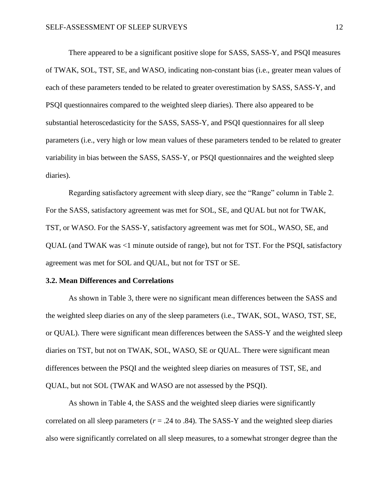There appeared to be a significant positive slope for SASS, SASS-Y, and PSQI measures of TWAK, SOL, TST, SE, and WASO, indicating non-constant bias (i.e., greater mean values of each of these parameters tended to be related to greater overestimation by SASS, SASS-Y, and PSQI questionnaires compared to the weighted sleep diaries). There also appeared to be substantial heteroscedasticity for the SASS, SASS-Y, and PSQI questionnaires for all sleep parameters (i.e., very high or low mean values of these parameters tended to be related to greater variability in bias between the SASS, SASS-Y, or PSQI questionnaires and the weighted sleep diaries).

Regarding satisfactory agreement with sleep diary, see the "Range" column in Table 2. For the SASS, satisfactory agreement was met for SOL, SE, and QUAL but not for TWAK, TST, or WASO. For the SASS-Y, satisfactory agreement was met for SOL, WASO, SE, and QUAL (and TWAK was <1 minute outside of range), but not for TST. For the PSQI, satisfactory agreement was met for SOL and QUAL, but not for TST or SE.

#### **3.2. Mean Differences and Correlations**

As shown in Table 3, there were no significant mean differences between the SASS and the weighted sleep diaries on any of the sleep parameters (i.e., TWAK, SOL, WASO, TST, SE, or QUAL). There were significant mean differences between the SASS-Y and the weighted sleep diaries on TST, but not on TWAK, SOL, WASO, SE or QUAL. There were significant mean differences between the PSQI and the weighted sleep diaries on measures of TST, SE, and QUAL, but not SOL (TWAK and WASO are not assessed by the PSQI).

As shown in Table 4, the SASS and the weighted sleep diaries were significantly correlated on all sleep parameters  $(r = .24 \text{ to } .84)$ . The SASS-Y and the weighted sleep diaries also were significantly correlated on all sleep measures, to a somewhat stronger degree than the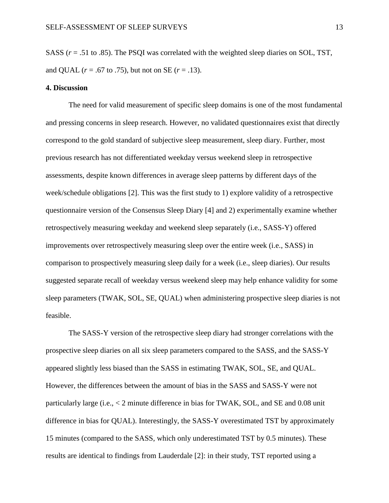SASS (*r* = .51 to .85). The PSQI was correlated with the weighted sleep diaries on SOL, TST, and QUAL ( $r = .67$  to .75), but not on SE ( $r = .13$ ).

#### **4. Discussion**

The need for valid measurement of specific sleep domains is one of the most fundamental and pressing concerns in sleep research. However, no validated questionnaires exist that directly correspond to the gold standard of subjective sleep measurement, sleep diary. Further, most previous research has not differentiated weekday versus weekend sleep in retrospective assessments, despite known differences in average sleep patterns by different days of the week/schedule obligations [\[2\]](#page-24-1). This was the first study to 1) explore validity of a retrospective questionnaire version of the Consensus Sleep Diary [\[4\]](#page-24-3) and 2) experimentally examine whether retrospectively measuring weekday and weekend sleep separately (i.e., SASS-Y) offered improvements over retrospectively measuring sleep over the entire week (i.e., SASS) in comparison to prospectively measuring sleep daily for a week (i.e., sleep diaries). Our results suggested separate recall of weekday versus weekend sleep may help enhance validity for some sleep parameters (TWAK, SOL, SE, QUAL) when administering prospective sleep diaries is not feasible.

The SASS-Y version of the retrospective sleep diary had stronger correlations with the prospective sleep diaries on all six sleep parameters compared to the SASS, and the SASS-Y appeared slightly less biased than the SASS in estimating TWAK, SOL, SE, and QUAL. However, the differences between the amount of bias in the SASS and SASS-Y were not particularly large (i.e., < 2 minute difference in bias for TWAK, SOL, and SE and 0.08 unit difference in bias for QUAL). Interestingly, the SASS-Y overestimated TST by approximately 15 minutes (compared to the SASS, which only underestimated TST by 0.5 minutes). These results are identical to findings from [Lauderdale \[2\]](#page-24-1): in their study, TST reported using a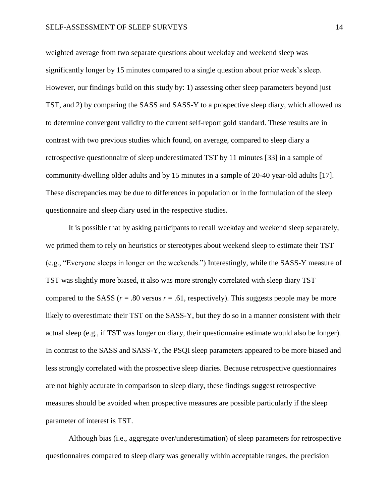weighted average from two separate questions about weekday and weekend sleep was significantly longer by 15 minutes compared to a single question about prior week's sleep. However, our findings build on this study by: 1) assessing other sleep parameters beyond just TST, and 2) by comparing the SASS and SASS-Y to a prospective sleep diary, which allowed us to determine convergent validity to the current self-report gold standard. These results are in contrast with two previous studies which found, on average, compared to sleep diary a retrospective questionnaire of sleep underestimated TST by 11 minutes [\[33\]](#page-27-3) in a sample of community-dwelling older adults and by 15 minutes in a sample of 20-40 year-old adults [\[17\]](#page-25-6). These discrepancies may be due to differences in population or in the formulation of the sleep questionnaire and sleep diary used in the respective studies.

It is possible that by asking participants to recall weekday and weekend sleep separately, we primed them to rely on heuristics or stereotypes about weekend sleep to estimate their TST (e.g., "Everyone sleeps in longer on the weekends.") Interestingly, while the SASS-Y measure of TST was slightly more biased, it also was more strongly correlated with sleep diary TST compared to the SASS ( $r = .80$  versus  $r = .61$ , respectively). This suggests people may be more likely to overestimate their TST on the SASS-Y, but they do so in a manner consistent with their actual sleep (e.g., if TST was longer on diary, their questionnaire estimate would also be longer). In contrast to the SASS and SASS-Y, the PSQI sleep parameters appeared to be more biased and less strongly correlated with the prospective sleep diaries. Because retrospective questionnaires are not highly accurate in comparison to sleep diary, these findings suggest retrospective measures should be avoided when prospective measures are possible particularly if the sleep parameter of interest is TST.

Although bias (i.e., aggregate over/underestimation) of sleep parameters for retrospective questionnaires compared to sleep diary was generally within acceptable ranges, the precision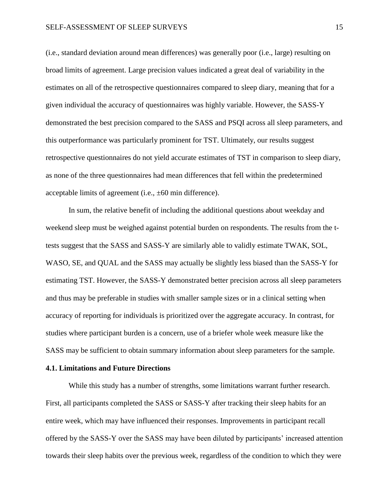(i.e., standard deviation around mean differences) was generally poor (i.e., large) resulting on broad limits of agreement. Large precision values indicated a great deal of variability in the estimates on all of the retrospective questionnaires compared to sleep diary, meaning that for a given individual the accuracy of questionnaires was highly variable. However, the SASS-Y demonstrated the best precision compared to the SASS and PSQI across all sleep parameters, and this outperformance was particularly prominent for TST. Ultimately, our results suggest retrospective questionnaires do not yield accurate estimates of TST in comparison to sleep diary, as none of the three questionnaires had mean differences that fell within the predetermined acceptable limits of agreement (i.e., ±60 min difference).

In sum, the relative benefit of including the additional questions about weekday and weekend sleep must be weighed against potential burden on respondents. The results from the ttests suggest that the SASS and SASS-Y are similarly able to validly estimate TWAK, SOL, WASO, SE, and QUAL and the SASS may actually be slightly less biased than the SASS-Y for estimating TST. However, the SASS-Y demonstrated better precision across all sleep parameters and thus may be preferable in studies with smaller sample sizes or in a clinical setting when accuracy of reporting for individuals is prioritized over the aggregate accuracy. In contrast, for studies where participant burden is a concern, use of a briefer whole week measure like the SASS may be sufficient to obtain summary information about sleep parameters for the sample.

## **4.1. Limitations and Future Directions**

While this study has a number of strengths, some limitations warrant further research. First, all participants completed the SASS or SASS-Y after tracking their sleep habits for an entire week, which may have influenced their responses. Improvements in participant recall offered by the SASS-Y over the SASS may have been diluted by participants' increased attention towards their sleep habits over the previous week, regardless of the condition to which they were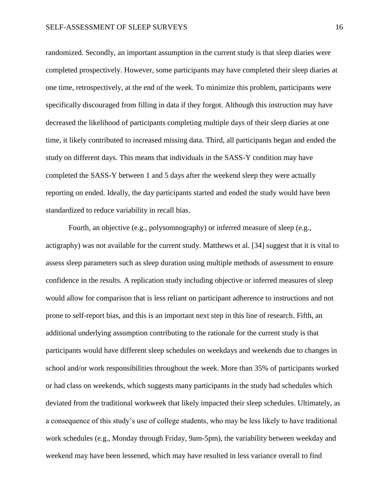randomized. Secondly, an important assumption in the current study is that sleep diaries were completed prospectively. However, some participants may have completed their sleep diaries at one time, retrospectively, at the end of the week. To minimize this problem, participants were specifically discouraged from filling in data if they forgot. Although this instruction may have decreased the likelihood of participants completing multiple days of their sleep diaries at one time, it likely contributed to increased missing data. Third, all participants began and ended the study on different days. This means that individuals in the SASS-Y condition may have completed the SASS-Y between 1 and 5 days after the weekend sleep they were actually reporting on ended. Ideally, the day participants started and ended the study would have been standardized to reduce variability in recall bias.

Fourth, an objective (e.g., polysomnography) or inferred measure of sleep (e.g., actigraphy) was not available for the current study. Matthews et al. [\[34\]](#page-27-4) suggest that it is vital to assess sleep parameters such as sleep duration using multiple methods of assessment to ensure confidence in the results. A replication study including objective or inferred measures of sleep would allow for comparison that is less reliant on participant adherence to instructions and not prone to self-report bias, and this is an important next step in this line of research. Fifth, an additional underlying assumption contributing to the rationale for the current study is that participants would have different sleep schedules on weekdays and weekends due to changes in school and/or work responsibilities throughout the week. More than 35% of participants worked or had class on weekends, which suggests many participants in the study had schedules which deviated from the traditional workweek that likely impacted their sleep schedules. Ultimately, as a consequence of this study's use of college students, who may be less likely to have traditional work schedules (e.g., Monday through Friday, 9am-5pm), the variability between weekday and weekend may have been lessened, which may have resulted in less variance overall to find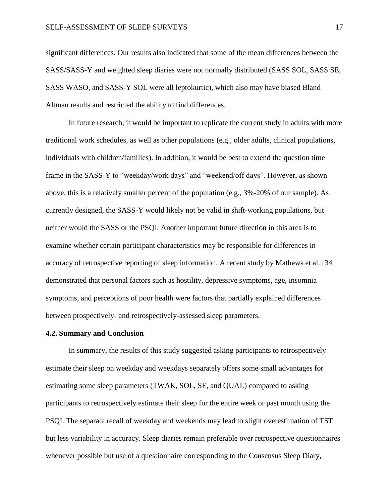significant differences. Our results also indicated that some of the mean differences between the SASS/SASS-Y and weighted sleep diaries were not normally distributed (SASS SOL, SASS SE, SASS WASO, and SASS-Y SOL were all leptokurtic), which also may have biased Bland Altman results and restricted the ability to find differences.

In future research, it would be important to replicate the current study in adults with more traditional work schedules, as well as other populations (e.g., older adults, clinical populations, individuals with children/families). In addition, it would be best to extend the question time frame in the SASS-Y to "weekday/work days" and "weekend/off days". However, as shown above, this is a relatively smaller percent of the population (e.g., 3%-20% of our sample). As currently designed, the SASS-Y would likely not be valid in shift-working populations, but neither would the SASS or the PSQI. Another important future direction in this area is to examine whether certain participant characteristics may be responsible for differences in accuracy of retrospective reporting of sleep information. A recent study by Mathews et al. [\[34\]](#page-27-4) demonstrated that personal factors such as hostility, depressive symptoms, age, insomnia symptoms, and perceptions of poor health were factors that partially explained differences between prospectively- and retrospectively-assessed sleep parameters.

### **4.2. Summary and Conclusion**

In summary, the results of this study suggested asking participants to retrospectively estimate their sleep on weekday and weekdays separately offers some small advantages for estimating some sleep parameters (TWAK, SOL, SE, and QUAL) compared to asking participants to retrospectively estimate their sleep for the entire week or past month using the PSQI. The separate recall of weekday and weekends may lead to slight overestimation of TST but less variability in accuracy. Sleep diaries remain preferable over retrospective questionnaires whenever possible but use of a questionnaire corresponding to the Consensus Sleep Diary,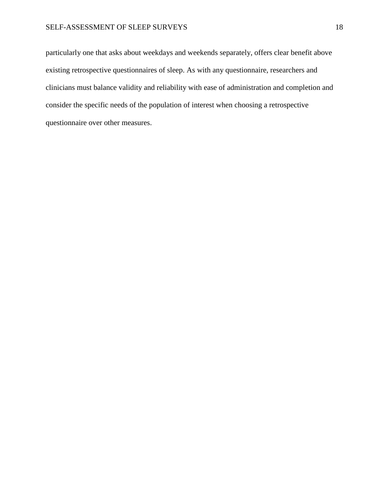### SELF-ASSESSMENT OF SLEEP SURVEYS 18

particularly one that asks about weekdays and weekends separately, offers clear benefit above existing retrospective questionnaires of sleep. As with any questionnaire, researchers and clinicians must balance validity and reliability with ease of administration and completion and consider the specific needs of the population of interest when choosing a retrospective questionnaire over other measures.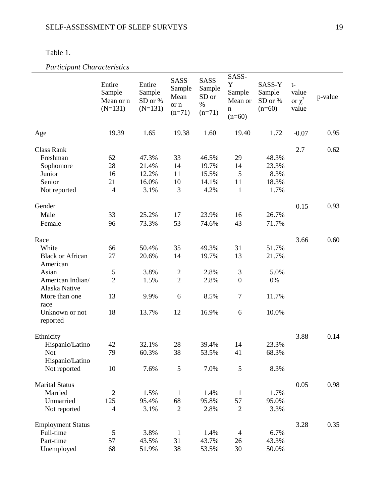| apie |  |
|------|--|
|      |  |

*Participant Characteristics* 

| <i>i</i> a <i>i depant Character</i> is hos |                                            |                                             |                                            |                                                    |                                                  |                                         |                                       |         |
|---------------------------------------------|--------------------------------------------|---------------------------------------------|--------------------------------------------|----------------------------------------------------|--------------------------------------------------|-----------------------------------------|---------------------------------------|---------|
|                                             | Entire<br>Sample<br>Mean or n<br>$(N=131)$ | Entire<br>Sample<br>SD or $\%$<br>$(N=131)$ | SASS<br>Sample<br>Mean<br>or n<br>$(n=71)$ | <b>SASS</b><br>Sample<br>SD or<br>$\%$<br>$(n=71)$ | SASS-<br>Y<br>Sample<br>Mean or<br>n<br>$(n=60)$ | SASS-Y<br>Sample<br>SD or %<br>$(n=60)$ | $t-$<br>value<br>or $\chi^2$<br>value | p-value |
| Age                                         | 19.39                                      | 1.65                                        | 19.38                                      | 1.60                                               | 19.40                                            | 1.72                                    | $-0.07$                               | 0.95    |
| <b>Class Rank</b>                           |                                            |                                             |                                            |                                                    |                                                  |                                         | 2.7                                   | 0.62    |
| Freshman                                    | 62                                         | 47.3%                                       | 33                                         | 46.5%                                              | 29                                               | 48.3%                                   |                                       |         |
| Sophomore                                   | 28                                         | 21.4%                                       | 14                                         | 19.7%                                              | 14                                               | 23.3%                                   |                                       |         |
| Junior                                      | 16                                         | 12.2%                                       | 11                                         | 15.5%                                              | 5                                                | 8.3%                                    |                                       |         |
| Senior                                      | 21                                         | 16.0%                                       | 10                                         | 14.1%                                              | 11                                               | 18.3%                                   |                                       |         |
| Not reported                                | $\overline{4}$                             | 3.1%                                        | 3                                          | 4.2%                                               | $\mathbf{1}$                                     | 1.7%                                    |                                       |         |
|                                             |                                            |                                             |                                            |                                                    |                                                  |                                         |                                       |         |
| Gender                                      |                                            |                                             |                                            |                                                    |                                                  |                                         | 0.15                                  | 0.93    |
| Male                                        | 33                                         | 25.2%                                       | 17                                         | 23.9%                                              |                                                  | 26.7%                                   |                                       |         |
|                                             |                                            |                                             |                                            |                                                    | 16                                               |                                         |                                       |         |
| Female                                      | 96                                         | 73.3%                                       | 53                                         | 74.6%                                              | 43                                               | 71.7%                                   |                                       |         |
| Race                                        |                                            |                                             |                                            |                                                    |                                                  |                                         | 3.66                                  | 0.60    |
| White                                       | 66                                         | 50.4%                                       | 35                                         | 49.3%                                              | 31                                               | 51.7%                                   |                                       |         |
| <b>Black or African</b>                     | 27                                         | 20.6%                                       | 14                                         | 19.7%                                              | 13                                               | 21.7%                                   |                                       |         |
| American                                    |                                            |                                             |                                            |                                                    |                                                  |                                         |                                       |         |
| Asian                                       | 5                                          | 3.8%                                        |                                            | 2.8%                                               | $\mathfrak{Z}$                                   | 5.0%                                    |                                       |         |
| American Indian/                            | $\overline{2}$                             | 1.5%                                        | $\overline{c}$<br>$\overline{2}$           |                                                    | $\boldsymbol{0}$                                 | 0%                                      |                                       |         |
| Alaska Native                               |                                            |                                             |                                            | 2.8%                                               |                                                  |                                         |                                       |         |
| More than one                               | 13                                         | 9.9%                                        | 6                                          | 8.5%                                               | $\tau$                                           | 11.7%                                   |                                       |         |
| race                                        |                                            |                                             |                                            |                                                    |                                                  |                                         |                                       |         |
| Unknown or not<br>reported                  | 18                                         | 13.7%                                       | 12                                         | 16.9%                                              | 6                                                | 10.0%                                   |                                       |         |
| Ethnicity                                   |                                            |                                             |                                            |                                                    |                                                  |                                         | 3.88                                  | 0.14    |
| Hispanic/Latino                             | 42                                         | 32.1%                                       | 28                                         | 39.4%                                              | 14                                               | 23.3%                                   |                                       |         |
| Not.                                        | 79                                         | 60.3%                                       | 38                                         | 53.5%                                              | 41                                               | 68.3%                                   |                                       |         |
| Hispanic/Latino                             |                                            |                                             |                                            |                                                    |                                                  |                                         |                                       |         |
| Not reported                                | 10                                         | 7.6%                                        | 5                                          | 7.0%                                               | 5                                                | 8.3%                                    |                                       |         |
| <b>Marital Status</b>                       |                                            |                                             |                                            |                                                    |                                                  |                                         | 0.05                                  | 0.98    |
| Married                                     | $\mathfrak{2}$                             | 1.5%                                        | 1                                          | 1.4%                                               | $\mathbf{1}$                                     | 1.7%                                    |                                       |         |
| Unmarried                                   | 125                                        | 95.4%                                       | 68                                         | 95.8%                                              | 57                                               | 95.0%                                   |                                       |         |
|                                             | $\overline{4}$                             | 3.1%                                        | $\overline{2}$                             | 2.8%                                               | $\mathfrak{2}$                                   | 3.3%                                    |                                       |         |
| Not reported                                |                                            |                                             |                                            |                                                    |                                                  |                                         |                                       |         |
| <b>Employment Status</b>                    |                                            |                                             |                                            |                                                    |                                                  |                                         | 3.28                                  | 0.35    |
| Full-time                                   | 5                                          | 3.8%                                        | 1                                          | 1.4%                                               | $\overline{4}$                                   | 6.7%                                    |                                       |         |
| Part-time                                   | 57                                         | 43.5%                                       | 31                                         | 43.7%                                              | 26                                               | 43.3%                                   |                                       |         |
| Unemployed                                  | 68                                         | 51.9%                                       | 38                                         | 53.5%                                              | 30                                               | 50.0%                                   |                                       |         |
|                                             |                                            |                                             |                                            |                                                    |                                                  |                                         |                                       |         |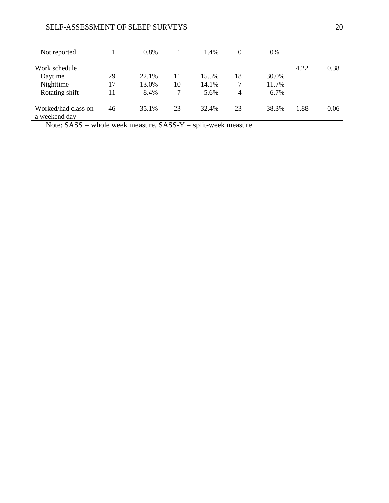# SELF-ASSESSMENT OF SLEEP SURVEYS 20

| Not reported                                                                                                     |    | $0.8\%$ |    | 1.4%  | 0  | 0%      |      |      |
|------------------------------------------------------------------------------------------------------------------|----|---------|----|-------|----|---------|------|------|
| Work schedule                                                                                                    |    |         |    |       |    |         | 4.22 | 0.38 |
| Daytime                                                                                                          | 29 | 22.1%   | 11 | 15.5% | 18 | 30.0%   |      |      |
| Nighttime                                                                                                        | 17 | 13.0%   | 10 | 14.1% | 7  | 11.7%   |      |      |
| Rotating shift                                                                                                   | 11 | 8.4%    | 7  | 5.6%  | 4  | $6.7\%$ |      |      |
| Worked/had class on<br>a weekend day                                                                             | 46 | 35.1%   | 23 | 32.4% | 23 | 38.3%   | 1.88 | 0.06 |
| $N_{\text{obs}}$ , $\beta \Lambda \beta \beta$ whele week measure $\beta \Lambda \beta \beta V$ and week measure |    |         |    |       |    |         |      |      |

Note: SASS = whole week measure, SASS-Y = split-week measure.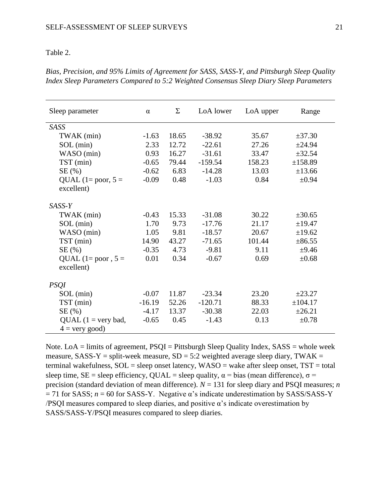#### Table 2.

| Sleep parameter       | $\alpha$ | Σ     | LoA lower | LoA upper | Range       |
|-----------------------|----------|-------|-----------|-----------|-------------|
| <b>SASS</b>           |          |       |           |           |             |
| TWAK (min)            | $-1.63$  | 18.65 | $-38.92$  | 35.67     | ±37.30      |
| $SOL$ (min)           | 2.33     | 12.72 | $-22.61$  | 27.26     | ±24.94      |
| WASO (min)            | 0.93     | 16.27 | $-31.61$  | 33.47     | ±32.54      |
| TST (min)             | $-0.65$  | 79.44 | $-159.54$ | 158.23    | ±158.89     |
| SE(%)                 | $-0.62$  | 6.83  | $-14.28$  | 13.03     | ±13.66      |
| QUAL $(1 = poor, 5 =$ | $-0.09$  | 0.48  | $-1.03$   | 0.84      | $\pm 0.94$  |
| excellent)            |          |       |           |           |             |
| $SASS-Y$              |          |       |           |           |             |
| TWAK (min)            | $-0.43$  | 15.33 | $-31.08$  | 30.22     | $\pm 30.65$ |
| $SOL$ (min)           | 1.70     | 9.73  | $-17.76$  | 21.17     | ±19.47      |
| WASO (min)            | 1.05     | 9.81  | $-18.57$  | 20.67     | ±19.62      |
| TST (min)             | 14.90    | 43.27 | $-71.65$  | 101.44    | ±86.55      |
| SE(%)                 | $-0.35$  | 4.73  | $-9.81$   | 9.11      | $\pm 9.46$  |
| QUAL (1= poor, $5 =$  | 0.01     | 0.34  | $-0.67$   | 0.69      | $\pm 0.68$  |
| excellent)            |          |       |           |           |             |
|                       |          |       |           |           |             |
| <b>PSQI</b>           |          |       |           |           |             |
| $SOL$ (min)           | $-0.07$  | 11.87 | $-23.34$  | 23.20     | ±23.27      |
| TST (min)             | $-16.19$ | 52.26 | $-120.71$ | 88.33     | ±104.17     |
| SE(%)                 | $-4.17$  | 13.37 | $-30.38$  | 22.03     | ±26.21      |
| $QUAL$ (1 = very bad, | $-0.65$  | 0.45  | $-1.43$   | 0.13      | $\pm 0.78$  |
| $4 =$ very good)      |          |       |           |           |             |

*Bias, Precision, and 95% Limits of Agreement for SASS, SASS-Y, and Pittsburgh Sleep Quality Index Sleep Parameters Compared to 5:2 Weighted Consensus Sleep Diary Sleep Parameters*

Note. Lo $A =$  limits of agreement,  $PSQI =$  Pittsburgh Sleep Quality Index,  $SASS =$  whole week measure,  $SASS-Y = split-week measure, SD = 5:2 weighted average sleep diary, TWAK =$ terminal wakefulness, SOL = sleep onset latency, WASO = wake after sleep onset, TST = total sleep time, SE = sleep efficiency, QUAL = sleep quality,  $\alpha$  = bias (mean difference),  $\sigma$  = precision (standard deviation of mean difference). *N* = 131 for sleep diary and PSQI measures; *n*  $= 71$  for SASS;  $n = 60$  for SASS-Y. Negative  $\alpha$ 's indicate underestimation by SASS/SASS-Y  $/PSQI$  measures compared to sleep diaries, and positive  $\alpha$ 's indicate overestimation by SASS/SASS-Y/PSQI measures compared to sleep diaries.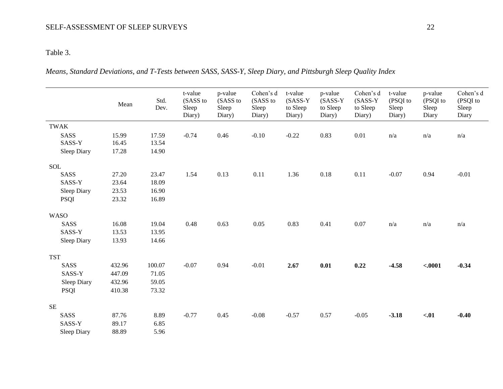# SELF-ASSESSMENT OF SLEEP SURVEYS 22

# Table 3.

*Means, Standard Deviations, and T-Tests between SASS, SASS-Y, Sleep Diary, and Pittsburgh Sleep Quality Index*

|             |                    | Mean   | Std.<br>Dev. | t-value<br>(SASS to<br>Sleep<br>Diary) | p-value<br>(SASS to<br>Sleep<br>Diary) | Cohen's d<br>(SASS to<br>Sleep<br>Diary) | t-value<br>$(SASS-Y)$<br>to Sleep<br>Diary) | p-value<br>$(SASS-Y)$<br>to Sleep<br>Diary) | Cohen's d<br>$(SASS-Y)$<br>to Sleep<br>Diary) | t-value<br>(PSQI to<br>Sleep<br>Diary) | p-value<br>(PSQI to<br>Sleep<br>Diary | Cohen's d<br>(PSQI to<br>Sleep<br>Diary |
|-------------|--------------------|--------|--------------|----------------------------------------|----------------------------------------|------------------------------------------|---------------------------------------------|---------------------------------------------|-----------------------------------------------|----------------------------------------|---------------------------------------|-----------------------------------------|
| <b>TWAK</b> |                    |        |              |                                        |                                        |                                          |                                             |                                             |                                               |                                        |                                       |                                         |
|             | SASS               | 15.99  | 17.59        | $-0.74$                                | 0.46                                   | $-0.10$                                  | $-0.22$                                     | 0.83                                        | $0.01\,$                                      | n/a                                    | n/a                                   | n/a                                     |
|             | SASS-Y             | 16.45  | 13.54        |                                        |                                        |                                          |                                             |                                             |                                               |                                        |                                       |                                         |
|             | <b>Sleep Diary</b> | 17.28  | 14.90        |                                        |                                        |                                          |                                             |                                             |                                               |                                        |                                       |                                         |
| <b>SOL</b>  |                    |        |              |                                        |                                        |                                          |                                             |                                             |                                               |                                        |                                       |                                         |
|             | SASS               | 27.20  | 23.47        | 1.54                                   | 0.13                                   | 0.11                                     | 1.36                                        | 0.18                                        | 0.11                                          | $-0.07$                                | 0.94                                  | $-0.01$                                 |
|             | SASS-Y             | 23.64  | 18.09        |                                        |                                        |                                          |                                             |                                             |                                               |                                        |                                       |                                         |
|             | Sleep Diary        | 23.53  | 16.90        |                                        |                                        |                                          |                                             |                                             |                                               |                                        |                                       |                                         |
|             | <b>PSQI</b>        | 23.32  | 16.89        |                                        |                                        |                                          |                                             |                                             |                                               |                                        |                                       |                                         |
| <b>WASO</b> |                    |        |              |                                        |                                        |                                          |                                             |                                             |                                               |                                        |                                       |                                         |
|             | SASS               | 16.08  | 19.04        | 0.48                                   | 0.63                                   | $0.05\,$                                 | 0.83                                        | 0.41                                        | 0.07                                          | n/a                                    | n/a                                   | n/a                                     |
|             | SASS-Y             | 13.53  | 13.95        |                                        |                                        |                                          |                                             |                                             |                                               |                                        |                                       |                                         |
|             | Sleep Diary        | 13.93  | 14.66        |                                        |                                        |                                          |                                             |                                             |                                               |                                        |                                       |                                         |
| <b>TST</b>  |                    |        |              |                                        |                                        |                                          |                                             |                                             |                                               |                                        |                                       |                                         |
|             | SASS               | 432.96 | 100.07       | $-0.07$                                | 0.94                                   | $-0.01$                                  | 2.67                                        | 0.01                                        | 0.22                                          | $-4.58$                                | $-.0001$                              | $-0.34$                                 |
|             | SASS-Y             | 447.09 | 71.05        |                                        |                                        |                                          |                                             |                                             |                                               |                                        |                                       |                                         |
|             | Sleep Diary        | 432.96 | 59.05        |                                        |                                        |                                          |                                             |                                             |                                               |                                        |                                       |                                         |
|             | <b>PSQI</b>        | 410.38 | 73.32        |                                        |                                        |                                          |                                             |                                             |                                               |                                        |                                       |                                         |
| <b>SE</b>   |                    |        |              |                                        |                                        |                                          |                                             |                                             |                                               |                                        |                                       |                                         |
|             | SASS               | 87.76  | 8.89         | $-0.77$                                | 0.45                                   | $-0.08$                                  | $-0.57$                                     | 0.57                                        | $-0.05$                                       | $-3.18$                                | $-.01$                                | $-0.40$                                 |
|             | SASS-Y             | 89.17  | 6.85         |                                        |                                        |                                          |                                             |                                             |                                               |                                        |                                       |                                         |
|             | Sleep Diary        | 88.89  | 5.96         |                                        |                                        |                                          |                                             |                                             |                                               |                                        |                                       |                                         |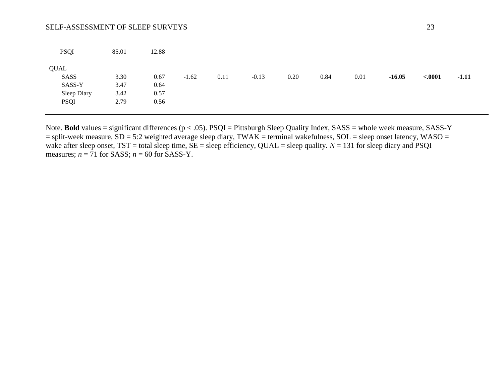# SELF-ASSESSMENT OF SLEEP SURVEYS 23

| <b>PSQI</b> | 85.01 | 12.88 |         |      |         |      |      |      |          |          |         |
|-------------|-------|-------|---------|------|---------|------|------|------|----------|----------|---------|
| QUAL        |       |       |         |      |         |      |      |      |          |          |         |
| SASS        | 3.30  | 0.67  | $-1.62$ | 0.11 | $-0.13$ | 0.20 | 0.84 | 0.01 | $-16.05$ | $-.0001$ | $-1.11$ |
| SASS-Y      | 3.47  | 0.64  |         |      |         |      |      |      |          |          |         |
| Sleep Diary | 3.42  | 0.57  |         |      |         |      |      |      |          |          |         |
| PSQI        | 2.79  | 0.56  |         |      |         |      |      |      |          |          |         |

Note. **Bold** values = significant differences (p < .05). PSQI = Pittsburgh Sleep Quality Index, SASS = whole week measure, SASS-Y  $=$  split-week measure,  $SD = 5:2$  weighted average sleep diary, TWAK = terminal wakefulness,  $SOL =$  sleep onset latency, WASO = wake after sleep onset, TST = total sleep time, SE = sleep efficiency, QUAL = sleep quality. *N* = 131 for sleep diary and PSQI measures;  $n = 71$  for SASS;  $n = 60$  for SASS-Y.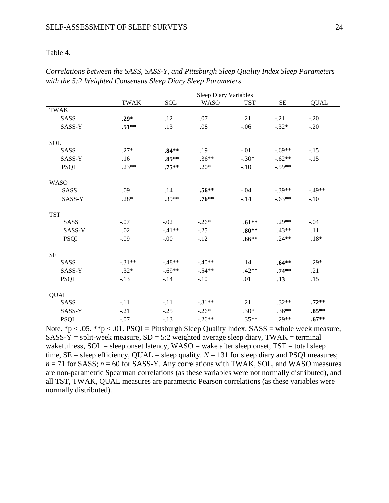# Table 4.

|             |             |          | <b>Sleep Diary Variables</b> |            |           |                   |
|-------------|-------------|----------|------------------------------|------------|-----------|-------------------|
|             | <b>TWAK</b> | SOL      | <b>WASO</b>                  | <b>TST</b> | <b>SE</b> | $QUA\overline{L}$ |
| <b>TWAK</b> |             |          |                              |            |           |                   |
| <b>SASS</b> | $.29*$      | .12      | .07                          | .21        | $-.21$    | $-.20$            |
| SASS-Y      | $.51**$     | .13      | .08                          | $-.06$     | $-.32*$   | $-.20$            |
| SOL         |             |          |                              |            |           |                   |
| <b>SASS</b> | $.27*$      | $.84**$  | .19                          | $-.01$     | $-.69**$  | $-.15$            |
| SASS-Y      | .16         | $.85**$  | $.36**$                      | $-.30*$    | $-.62**$  | $-.15$            |
| <b>PSQI</b> | $.23**$     | $.75***$ | $.20*$                       | $-.10$     | $-.59**$  |                   |
| <b>WASO</b> |             |          |                              |            |           |                   |
| <b>SASS</b> | .09         | .14      | $.56**$                      | $-.04$     | $-.39**$  | $-.49**$          |
| SASS-Y      | .28*        | $.39**$  | $.76***$                     | $-.14$     | $-.63**$  | $-.10$            |
| <b>TST</b>  |             |          |                              |            |           |                   |
| <b>SASS</b> | $-.07$      | $-.02$   | $-.26*$                      | $.61**$    | $.29**$   | $-.04$            |
| SASS-Y      | .02         | $-41**$  | $-.25$                       | $.80**$    | $.43**$   | .11               |
| <b>PSQI</b> | $-.09$      | $-.00$   | $-12$                        | $.66***$   | $.24**$   | $.18*$            |
| <b>SE</b>   |             |          |                              |            |           |                   |
| <b>SASS</b> | $-.31**$    | $-48**$  | $-.40**$                     | .14        | $.64**$   | $.29*$            |
| SASS-Y      | $.32*$      | $-69**$  | $-.54**$                     | $.42**$    | $.74**$   | .21               |
| <b>PSQI</b> | $-.13$      | $-.14$   | $-.10$                       | .01        | .13       | .15               |
| <b>QUAL</b> |             |          |                              |            |           |                   |
| <b>SASS</b> | $-.11$      | $-.11$   | $-.31**$                     | .21        | $.32**$   | $.72**$           |
| SASS-Y      | $-.21$      | $-.25$   | $-.26*$                      | $.30*$     | $.36**$   | $.85**$           |
| <b>PSQI</b> | $-.07$      | $-.13$   | $-.26**$                     | $.35**$    | $.29**$   | $.67**$           |

*Correlations between the SASS, SASS-Y, and Pittsburgh Sleep Quality Index Sleep Parameters with the 5:2 Weighted Consensus Sleep Diary Sleep Parameters*

Note.  $*p < .05$ .  $**p < .01$ . PSQI = Pittsburgh Sleep Quality Index, SASS = whole week measure,  $SASS-Y = split-week measure, SD = 5:2 weighted average sleep diary, TWAK = terminal$ wakefulness,  $SOL =$  sleep onset latency,  $WASO =$  wake after sleep onset,  $TST =$  total sleep time,  $SE =$  sleep efficiency, QUAL = sleep quality.  $N = 131$  for sleep diary and PSQI measures;  $n = 71$  for SASS;  $n = 60$  for SASS-Y. Any correlations with TWAK, SOL, and WASO measures are non-parametric Spearman correlations (as these variables were not normally distributed), and all TST, TWAK, QUAL measures are parametric Pearson correlations (as these variables were normally distributed).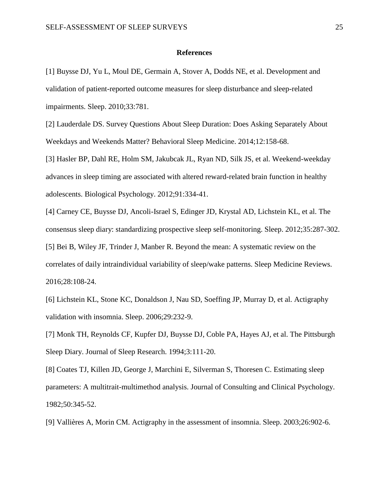#### **References**

<span id="page-24-0"></span>[1] Buysse DJ, Yu L, Moul DE, Germain A, Stover A, Dodds NE, et al. Development and validation of patient-reported outcome measures for sleep disturbance and sleep-related impairments. Sleep. 2010;33:781.

<span id="page-24-1"></span>[2] Lauderdale DS. Survey Questions About Sleep Duration: Does Asking Separately About Weekdays and Weekends Matter? Behavioral Sleep Medicine. 2014;12:158-68.

<span id="page-24-2"></span>[3] Hasler BP, Dahl RE, Holm SM, Jakubcak JL, Ryan ND, Silk JS, et al. Weekend-weekday advances in sleep timing are associated with altered reward-related brain function in healthy adolescents. Biological Psychology. 2012;91:334-41.

<span id="page-24-4"></span><span id="page-24-3"></span>[4] Carney CE, Buysse DJ, Ancoli-Israel S, Edinger JD, Krystal AD, Lichstein KL, et al. The consensus sleep diary: standardizing prospective sleep self-monitoring. Sleep. 2012;35:287-302. [5] Bei B, Wiley JF, Trinder J, Manber R. Beyond the mean: A systematic review on the correlates of daily intraindividual variability of sleep/wake patterns. Sleep Medicine Reviews. 2016;28:108-24.

<span id="page-24-5"></span>[6] Lichstein KL, Stone KC, Donaldson J, Nau SD, Soeffing JP, Murray D, et al. Actigraphy validation with insomnia. Sleep. 2006;29:232-9.

[7] Monk TH, Reynolds CF, Kupfer DJ, Buysse DJ, Coble PA, Hayes AJ, et al. The Pittsburgh Sleep Diary. Journal of Sleep Research. 1994;3:111-20.

[8] Coates TJ, Killen JD, George J, Marchini E, Silverman S, Thoresen C. Estimating sleep parameters: A multitrait-multimethod analysis. Journal of Consulting and Clinical Psychology. 1982;50:345-52.

[9] Vallières A, Morin CM. Actigraphy in the assessment of insomnia. Sleep. 2003;26:902-6.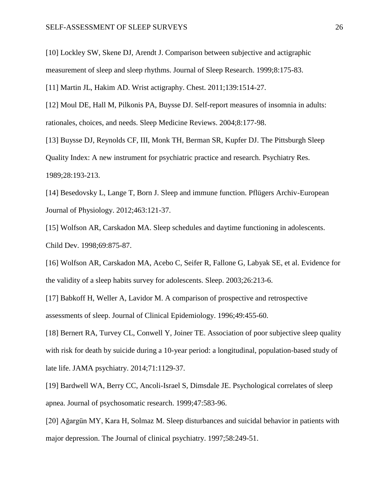[10] Lockley SW, Skene DJ, Arendt J. Comparison between subjective and actigraphic measurement of sleep and sleep rhythms. Journal of Sleep Research. 1999;8:175-83.

<span id="page-25-0"></span>[11] Martin JL, Hakim AD. Wrist actigraphy. Chest. 2011;139:1514-27.

<span id="page-25-1"></span>[12] Moul DE, Hall M, Pilkonis PA, Buysse DJ. Self-report measures of insomnia in adults: rationales, choices, and needs. Sleep Medicine Reviews. 2004;8:177-98.

<span id="page-25-2"></span>[13] Buysse DJ, Reynolds CF, III, Monk TH, Berman SR, Kupfer DJ. The Pittsburgh Sleep Quality Index: A new instrument for psychiatric practice and research. Psychiatry Res. 1989;28:193-213.

<span id="page-25-3"></span>[14] Besedovsky L, Lange T, Born J. Sleep and immune function. Pflügers Archiv-European Journal of Physiology. 2012;463:121-37.

<span id="page-25-4"></span>[15] Wolfson AR, Carskadon MA. Sleep schedules and daytime functioning in adolescents. Child Dev. 1998;69:875-87.

<span id="page-25-5"></span>[16] Wolfson AR, Carskadon MA, Acebo C, Seifer R, Fallone G, Labyak SE, et al. Evidence for the validity of a sleep habits survey for adolescents. Sleep. 2003;26:213-6.

<span id="page-25-6"></span>[17] Babkoff H, Weller A, Lavidor M. A comparison of prospective and retrospective assessments of sleep. Journal of Clinical Epidemiology. 1996;49:455-60.

<span id="page-25-7"></span>[18] Bernert RA, Turvey CL, Conwell Y, Joiner TE. Association of poor subjective sleep quality with risk for death by suicide during a 10-year period: a longitudinal, population-based study of late life. JAMA psychiatry. 2014;71:1129-37.

<span id="page-25-8"></span>[19] Bardwell WA, Berry CC, Ancoli-Israel S, Dimsdale JE. Psychological correlates of sleep apnea. Journal of psychosomatic research. 1999;47:583-96.

<span id="page-25-9"></span>[20] Ağargün MY, Kara H, Solmaz M. Sleep disturbances and suicidal behavior in patients with major depression. The Journal of clinical psychiatry. 1997;58:249-51.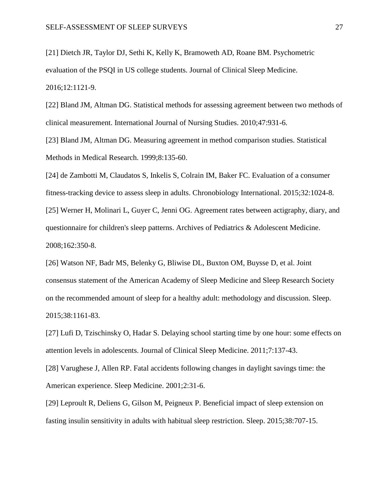<span id="page-26-0"></span>[21] Dietch JR, Taylor DJ, Sethi K, Kelly K, Bramoweth AD, Roane BM. Psychometric evaluation of the PSQI in US college students. Journal of Clinical Sleep Medicine. 2016;12:1121-9.

<span id="page-26-1"></span>[22] Bland JM, Altman DG. Statistical methods for assessing agreement between two methods of clinical measurement. International Journal of Nursing Studies. 2010;47:931-6.

<span id="page-26-2"></span>[23] Bland JM, Altman DG. Measuring agreement in method comparison studies. Statistical Methods in Medical Research. 1999;8:135-60.

<span id="page-26-4"></span><span id="page-26-3"></span>[24] de Zambotti M, Claudatos S, Inkelis S, Colrain IM, Baker FC. Evaluation of a consumer fitness-tracking device to assess sleep in adults. Chronobiology International. 2015;32:1024-8. [25] Werner H, Molinari L, Guyer C, Jenni OG. Agreement rates between actigraphy, diary, and questionnaire for children's sleep patterns. Archives of Pediatrics & Adolescent Medicine. 2008;162:350-8.

<span id="page-26-5"></span>[26] Watson NF, Badr MS, Belenky G, Bliwise DL, Buxton OM, Buysse D, et al. Joint consensus statement of the American Academy of Sleep Medicine and Sleep Research Society on the recommended amount of sleep for a healthy adult: methodology and discussion. Sleep. 2015;38:1161-83.

<span id="page-26-6"></span>[27] Lufi D, Tzischinsky O, Hadar S. Delaying school starting time by one hour: some effects on attention levels in adolescents. Journal of Clinical Sleep Medicine. 2011;7:137-43.

[28] Varughese J, Allen RP. Fatal accidents following changes in daylight savings time: the American experience. Sleep Medicine. 2001;2:31-6.

[29] Leproult R, Deliens G, Gilson M, Peigneux P. Beneficial impact of sleep extension on fasting insulin sensitivity in adults with habitual sleep restriction. Sleep. 2015;38:707-15.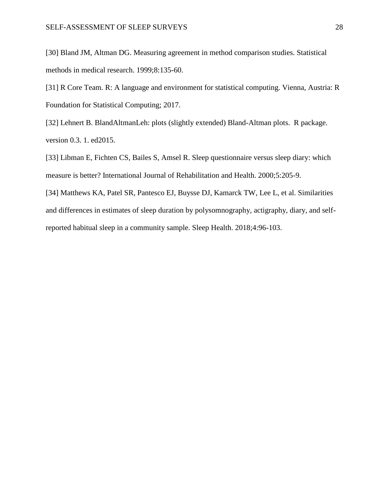<span id="page-27-0"></span>[30] Bland JM, Altman DG. Measuring agreement in method comparison studies. Statistical methods in medical research. 1999;8:135-60.

<span id="page-27-1"></span>[31] R Core Team. R: A language and environment for statistical computing. Vienna, Austria: R Foundation for Statistical Computing; 2017.

<span id="page-27-2"></span>[32] Lehnert B. BlandAltmanLeh: plots (slightly extended) Bland-Altman plots. R package. version 0.3. 1. ed2015.

<span id="page-27-3"></span>[33] Libman E, Fichten CS, Bailes S, Amsel R. Sleep questionnaire versus sleep diary: which measure is better? International Journal of Rehabilitation and Health. 2000;5:205-9.

<span id="page-27-4"></span>[34] Matthews KA, Patel SR, Pantesco EJ, Buysse DJ, Kamarck TW, Lee L, et al. Similarities and differences in estimates of sleep duration by polysomnography, actigraphy, diary, and selfreported habitual sleep in a community sample. Sleep Health. 2018;4:96-103.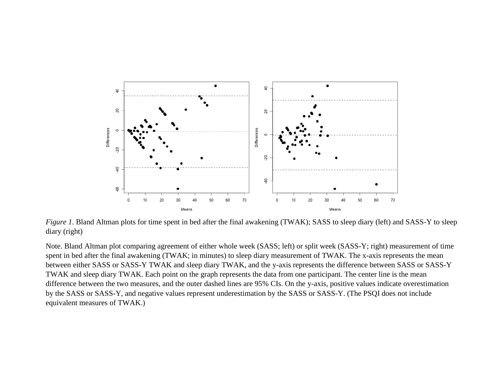

*Figure 1*. Bland Altman plots for time spent in bed after the final awakening (TWAK); SASS to sleep diary (left) and SASS-Y to sleep diary (right)

Note. Bland Altman plot comparing agreement of either whole week (SASS; left) or split week (SASS-Y; right) measurement of time spent in bed after the final awakening (TWAK; in minutes) to sleep diary measurement of TWAK. The x-axis represents the mean between either SASS or SASS-Y TWAK and sleep diary TWAK, and the y-axis represents the difference between SASS or SASS-Y TWAK and sleep diary TWAK. Each point on the graph represents the data from one participant. The center line is the mean difference between the two measures, and the outer dashed lines are 95% CIs. On the y-axis, positive values indicate overestimation by the SASS or SASS-Y, and negative values represent underestimation by the SASS or SASS-Y. (The PSQI does not include equivalent measures of TWAK.)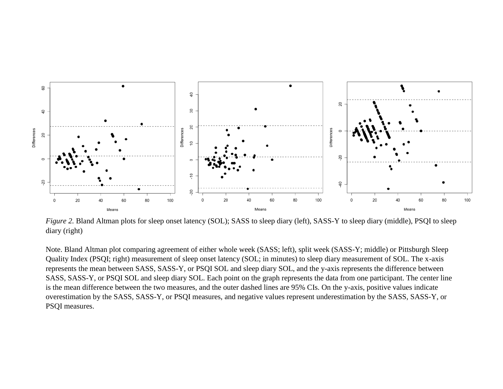

*Figure 2.* Bland Altman plots for sleep onset latency (SOL); SASS to sleep diary (left), SASS-Y to sleep diary (middle), PSQI to sleep diary (right)

Note. Bland Altman plot comparing agreement of either whole week (SASS; left), split week (SASS-Y; middle) or Pittsburgh Sleep Quality Index (PSQI; right) measurement of sleep onset latency (SOL; in minutes) to sleep diary measurement of SOL. The x-axis represents the mean between SASS, SASS-Y, or PSQI SOL and sleep diary SOL, and the y-axis represents the difference between SASS, SASS-Y, or PSQI SOL and sleep diary SOL. Each point on the graph represents the data from one participant. The center line is the mean difference between the two measures, and the outer dashed lines are 95% CIs. On the y-axis, positive values indicate overestimation by the SASS, SASS-Y, or PSQI measures, and negative values represent underestimation by the SASS, SASS-Y, or PSQI measures.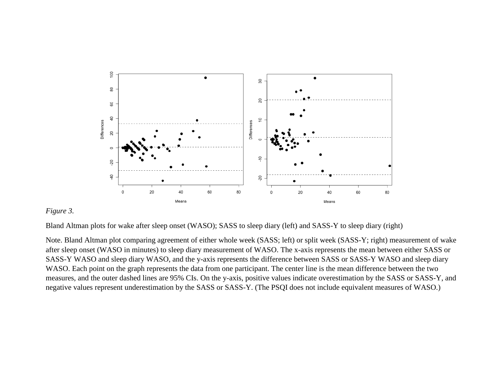![](_page_30_Figure_0.jpeg)

# *Figure 3.*

Bland Altman plots for wake after sleep onset (WASO); SASS to sleep diary (left) and SASS-Y to sleep diary (right)

Note. Bland Altman plot comparing agreement of either whole week (SASS; left) or split week (SASS-Y; right) measurement of wake after sleep onset (WASO in minutes) to sleep diary measurement of WASO. The x-axis represents the mean between either SASS or SASS-Y WASO and sleep diary WASO, and the y-axis represents the difference between SASS or SASS-Y WASO and sleep diary WASO. Each point on the graph represents the data from one participant. The center line is the mean difference between the two measures, and the outer dashed lines are 95% CIs. On the y-axis, positive values indicate overestimation by the SASS or SASS-Y, and negative values represent underestimation by the SASS or SASS-Y. (The PSQI does not include equivalent measures of WASO.)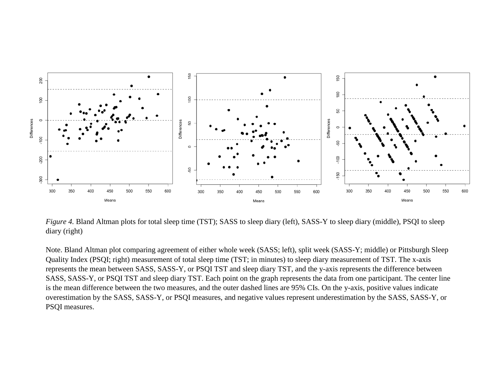![](_page_31_Figure_0.jpeg)

*Figure 4.* Bland Altman plots for total sleep time (TST); SASS to sleep diary (left), SASS-Y to sleep diary (middle), PSQI to sleep diary (right)

Note. Bland Altman plot comparing agreement of either whole week (SASS; left), split week (SASS-Y; middle) or Pittsburgh Sleep Quality Index (PSQI; right) measurement of total sleep time (TST; in minutes) to sleep diary measurement of TST. The x-axis represents the mean between SASS, SASS-Y, or PSQI TST and sleep diary TST, and the y-axis represents the difference between SASS, SASS-Y, or PSQI TST and sleep diary TST. Each point on the graph represents the data from one participant. The center line is the mean difference between the two measures, and the outer dashed lines are 95% CIs. On the y-axis, positive values indicate overestimation by the SASS, SASS-Y, or PSQI measures, and negative values represent underestimation by the SASS, SASS-Y, or PSQI measures.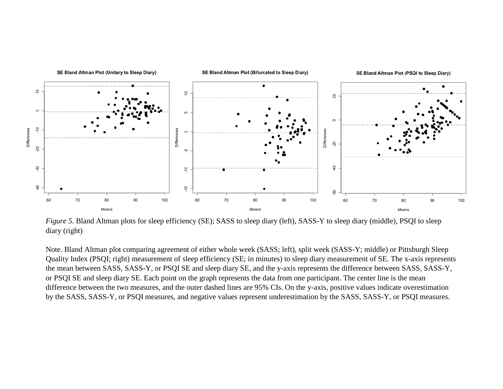![](_page_32_Figure_0.jpeg)

*Figure 5.* Bland Altman plots for sleep efficiency (SE); SASS to sleep diary (left), SASS-Y to sleep diary (middle), PSQI to sleep diary (right)

Note. Bland Altman plot comparing agreement of either whole week (SASS; left), split week (SASS-Y; middle) or Pittsburgh Sleep Quality Index (PSQI; right) measurement of sleep efficiency (SE; in minutes) to sleep diary measurement of SE. The x-axis represents the mean between SASS, SASS-Y, or PSQI SE and sleep diary SE, and the y-axis represents the difference between SASS, SASS-Y, or PSQI SE and sleep diary SE. Each point on the graph represents the data from one participant. The center line is the mean difference between the two measures, and the outer dashed lines are 95% CIs. On the y-axis, positive values indicate overestimation by the SASS, SASS-Y, or PSQI measures, and negative values represent underestimation by the SASS, SASS-Y, or PSQI measures.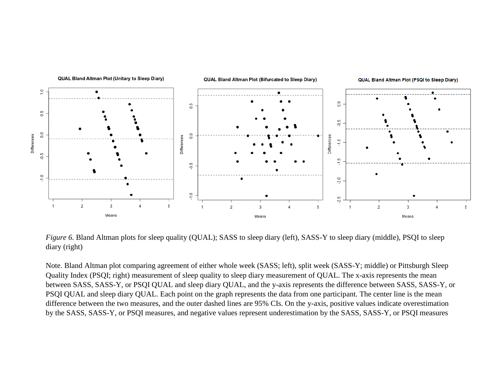![](_page_33_Figure_0.jpeg)

*Figure 6.* Bland Altman plots for sleep quality (QUAL); SASS to sleep diary (left), SASS-Y to sleep diary (middle), PSQI to sleep diary (right)

Note. Bland Altman plot comparing agreement of either whole week (SASS; left), split week (SASS-Y; middle) or Pittsburgh Sleep Quality Index (PSQI; right) measurement of sleep quality to sleep diary measurement of QUAL. The x-axis represents the mean between SASS, SASS-Y, or PSQI QUAL and sleep diary QUAL, and the y-axis represents the difference between SASS, SASS-Y, or PSQI QUAL and sleep diary QUAL. Each point on the graph represents the data from one participant. The center line is the mean difference between the two measures, and the outer dashed lines are 95% CIs. On the y-axis, positive values indicate overestimation by the SASS, SASS-Y, or PSQI measures, and negative values represent underestimation by the SASS, SASS-Y, or PSQI measures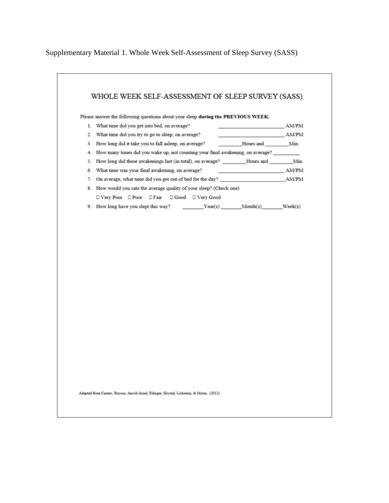Supplementary Material 1. Whole Week Self-Assessment of Sleep Survey (SASS)

![](_page_34_Figure_1.jpeg)

Adapted from Camey, Buysse, Ancoli-Israel, Edinger, Krystal, Lichstein, & Morin, (2012).